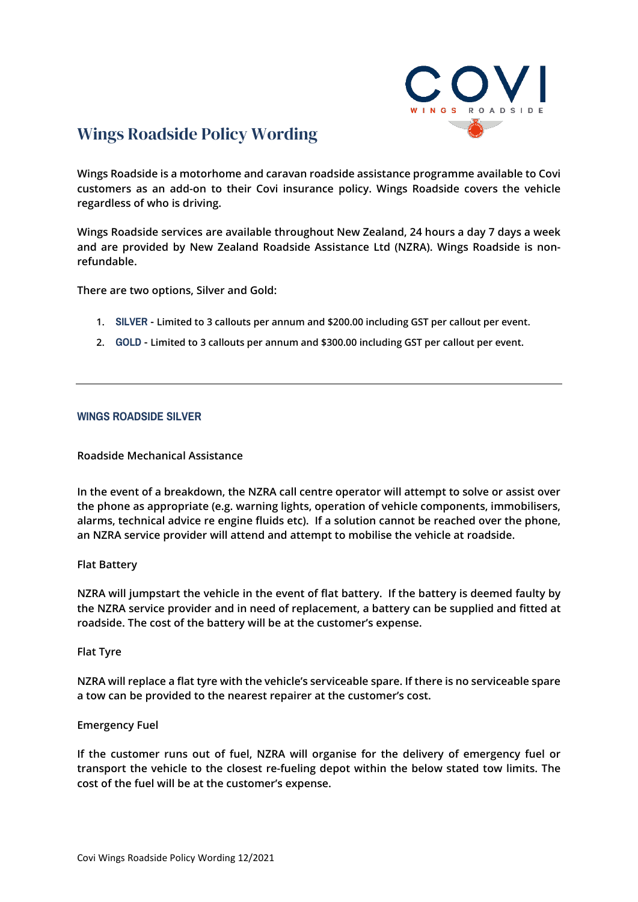

# Wings Roadside Policy Wording

**Wings Roadside is a motorhome and caravan roadside assistance programme available to Covi customers as an add-on to their Covi insurance policy. Wings Roadside covers the vehicle regardless of who is driving.** 

**Wings Roadside services are available throughout New Zealand, 24 hours a day 7 days a week and are provided by New Zealand Roadside Assistance Ltd (NZRA). Wings Roadside is nonrefundable.** 

**There are two options, Silver and Gold:**

- **1. SILVER - Limited to 3 callouts per annum and \$200.00 including GST per callout per event.**
- **2. GOLD - Limited to 3 callouts per annum and \$300.00 including GST per callout per event.**

# **WINGS ROADSIDE SILVER**

## **Roadside Mechanical Assistance**

**In the event of a breakdown, the NZRA call centre operator will attempt to solve or assist over the phone as appropriate (e.g. warning lights, operation of vehicle components, immobilisers, alarms, technical advice re engine fluids etc). If a solution cannot be reached over the phone, an NZRA service provider will attend and attempt to mobilise the vehicle at roadside.** 

## **Flat Battery**

**NZRA will jumpstart the vehicle in the event of flat battery. If the battery is deemed faulty by the NZRA service provider and in need of replacement, a battery can be supplied and fitted at roadside. The cost of the battery will be at the customer's expense.** 

## **Flat Tyre**

**NZRA will replace a flat tyre with the vehicle's serviceable spare. If there is no serviceable spare a tow can be provided to the nearest repairer at the customer's cost.** 

## **Emergency Fuel**

**If the customer runs out of fuel, NZRA will organise for the delivery of emergency fuel or transport the vehicle to the closest re-fueling depot within the below stated tow limits. The cost of the fuel will be at the customer's expense.**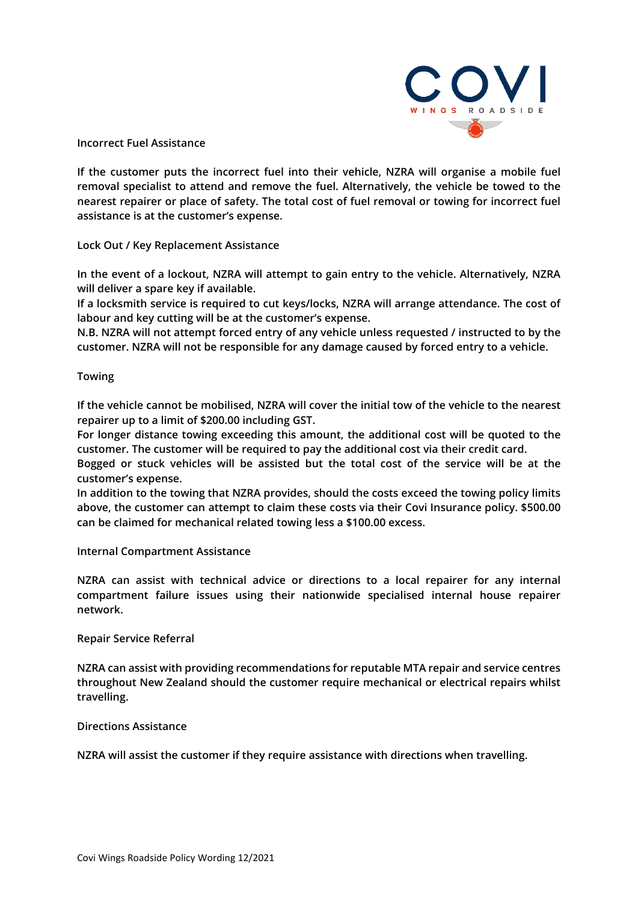

**Incorrect Fuel Assistance** 

**If the customer puts the incorrect fuel into their vehicle, NZRA will organise a mobile fuel removal specialist to attend and remove the fuel. Alternatively, the vehicle be towed to the nearest repairer or place of safety. The total cost of fuel removal or towing for incorrect fuel assistance is at the customer's expense.**

**Lock Out / Key Replacement Assistance** 

**In the event of a lockout, NZRA will attempt to gain entry to the vehicle. Alternatively, NZRA will deliver a spare key if available.** 

**If a locksmith service is required to cut keys/locks, NZRA will arrange attendance. The cost of labour and key cutting will be at the customer's expense.** 

**N.B. NZRA will not attempt forced entry of any vehicle unless requested / instructed to by the customer. NZRA will not be responsible for any damage caused by forced entry to a vehicle.** 

## **Towing**

**If the vehicle cannot be mobilised, NZRA will cover the initial tow of the vehicle to the nearest repairer up to a limit of \$200.00 including GST.**

**For longer distance towing exceeding this amount, the additional cost will be quoted to the customer. The customer will be required to pay the additional cost via their credit card.**

**Bogged or stuck vehicles will be assisted but the total cost of the service will be at the customer's expense.**

**In addition to the towing that NZRA provides, should the costs exceed the towing policy limits above, the customer can attempt to claim these costs via their Covi Insurance policy. \$500.00 can be claimed for mechanical related towing less a \$100.00 excess.**

**Internal Compartment Assistance**

**NZRA can assist with technical advice or directions to a local repairer for any internal compartment failure issues using their nationwide specialised internal house repairer network.**

## **Repair Service Referral**

**NZRA can assist with providing recommendations for reputable MTA repair and service centres throughout New Zealand should the customer require mechanical or electrical repairs whilst travelling.** 

# **Directions Assistance**

**NZRA will assist the customer if they require assistance with directions when travelling.**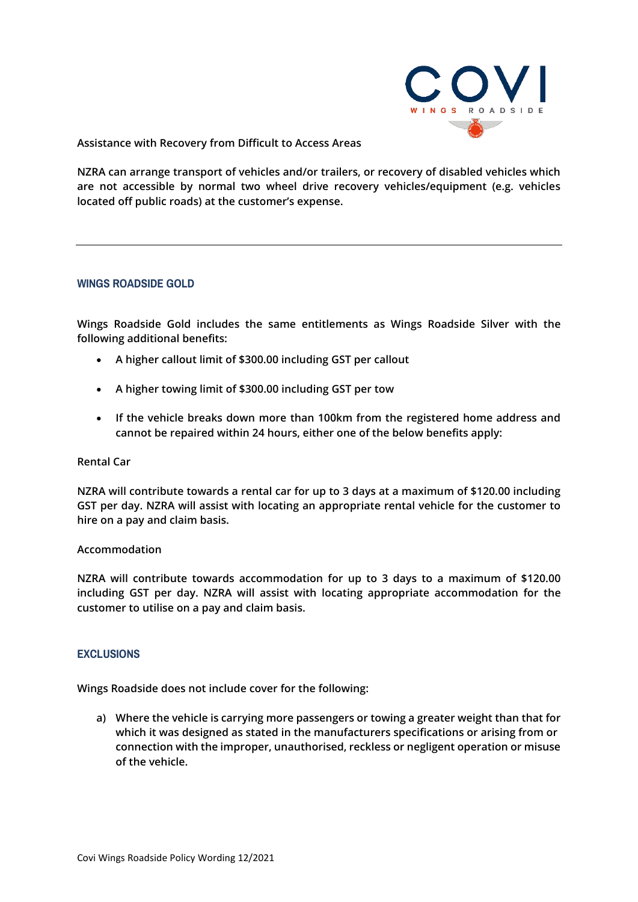

**Assistance with Recovery from Difficult to Access Areas**

**NZRA can arrange transport of vehicles and/or trailers, or recovery of disabled vehicles which are not accessible by normal two wheel drive recovery vehicles/equipment (e.g. vehicles located off public roads) at the customer's expense.**

## **WINGS ROADSIDE GOLD**

**Wings Roadside Gold includes the same entitlements as Wings Roadside Silver with the following additional benefits:**

- **A higher callout limit of \$300.00 including GST per callout**
- **A higher towing limit of \$300.00 including GST per tow**
- **If the vehicle breaks down more than 100km from the registered home address and cannot be repaired within 24 hours, either one of the below benefits apply:**

#### **Rental Car**

**NZRA will contribute towards a rental car for up to 3 days at a maximum of \$120.00 including GST per day. NZRA will assist with locating an appropriate rental vehicle for the customer to hire on a pay and claim basis.**

#### **Accommodation**

**NZRA will contribute towards accommodation for up to 3 days to a maximum of \$120.00 including GST per day. NZRA will assist with locating appropriate accommodation for the customer to utilise on a pay and claim basis.**

## **EXCLUSIONS**

**Wings Roadside does not include cover for the following:**

**a) Where the vehicle is carrying more passengers or towing a greater weight than that for which it was designed as stated in the manufacturers specifications or arising from or connection with the improper, unauthorised, reckless or negligent operation or misuse of the vehicle.**